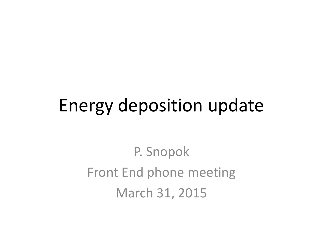#### Energy deposition update

P. Snopok Front End phone meeting March 31, 2015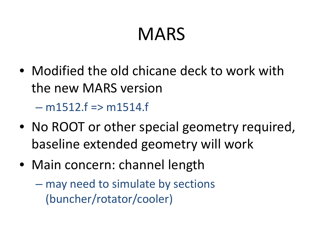### MARS

- Modified the old chicane deck to work with the new MARS version – m1512.f => m1514.f
- No ROOT or other special geometry required, baseline extended geometry will work
- Main concern: channel length –– may need to simulate by sections (buncher/rotator/cooler)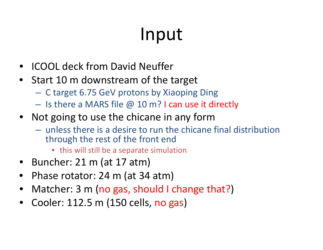## Input

- •**•** ICOOL deck from David Neuffer
- Start 10 m downstream of the target
	- $\mathcal{L}_{\mathcal{A}}$  , and the set of  $\mathcal{L}_{\mathcal{A}}$ C target 6.75 GeV protons by Xiaoping Ding
	- $-$  Is there a MARS file  $@$  10 m? I can use it directly
- Not going to use the chicane in any form
	- unless there is <sup>a</sup> desire to run the chicane final distribution through the rest of the front end
		- this will still be <sup>a</sup> separate simulation
- Buncher: 21 m (at 17 atm)
- Phase rotator: 24 m (at 34 atm)
- Matcher: 3 m (no gas, should I change that?)
- •Cooler: 112.5 m (150 cells, no gas)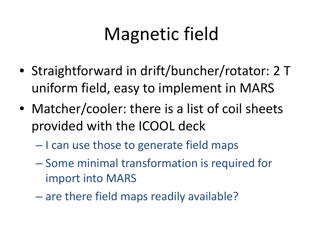# Magnetic field

- Straightforward in drift/buncher/rotator: 2 T uniform field, easy to implement in MARS
- Matcher/cooler: there is <sup>a</sup> list of coil sheets provided with the ICOOL deck
	- $\mathcal{L}_{\mathcal{A}}$  , and the set of  $\mathcal{L}_{\mathcal{A}}$ – I can use those to generate field maps
	- $\mathcal{L}_{\mathcal{A}}$  , and the set of  $\mathcal{L}_{\mathcal{A}}$  $-$  Some minimal transformation is required for import into MARS
	- $\mathcal{L}_{\mathcal{A}}$  , and the set of  $\mathcal{L}_{\mathcal{A}}$ – are there field maps readily available?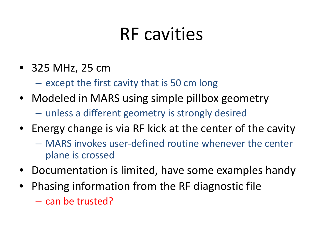### RF cavities

- 325 MHz, 25 cm
	- – $-$  except the first cavity that is 50 cm long
- Modeled in MARS using simple pillbox geometry
	- $\mathcal{L}_{\mathcal{A}}$  , and the set of  $\mathcal{L}_{\mathcal{A}}$ unless <sup>a</sup> different geometry is strongly desired
- Energy change is via RF kick at the center of the cavity
	- MARS invokes user‐defined routine whenever the center plane is crossed
- Documentation is limited, have some examples handy
- Phasing information from the RF diagnostic file
	- can be trusted?